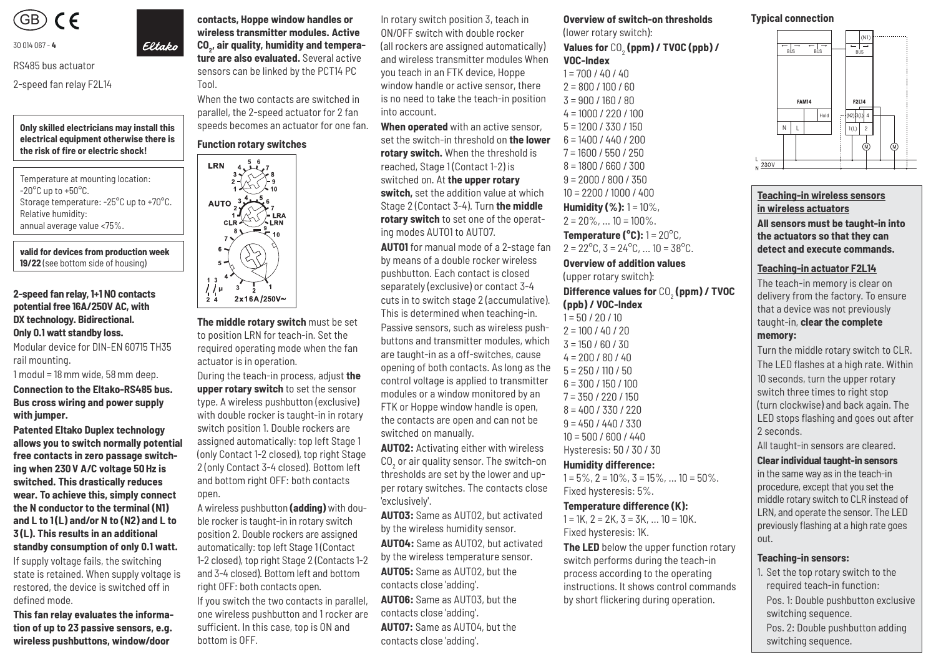

#### 30 014 067 - **4**

RS485 bus actuator

2-speed fan relay F2L14

**Only skilled electricians may install this electrical equipment otherwise there is**  the risk of fire or electric shock!

Temperature at mounting location:  $-20^{\circ}$ C up to  $+50^{\circ}$ C. Storage temperature: -25°C up to +70°C. Relative humidity: annual average value <75%.

**valid for devices from production week 19/22** (see bottom side of housing)

#### **2-speed fan relay, 1+1 NO contacts potential free 16A/250V AC, with DX technology. Bidirectional. Only 0.1 watt standby loss.**

Modular device for DIN-EN 60715 TH35 rail mounting.

1 modul = 18 mm wide, 58 mm deep.

**Connection to the Eltako-RS485 bus. Bus cross wiring and power supply with jumper.**

**Patented Eltako Duplex technology allows you to switch normally potential free contacts in zero passage switching when 230 V A/C voltage 50 Hz is switched. This drastically re duces wear. To achieve this, simply connect the N conductor to the terminal (N1) and L to 1 (L) and/or N to (N2) and L to 3 (L). This results in an additional standby consumption of only 0.1 watt.**

If supply voltage fails, the switching state is retained. When supply voltage is restored, the device is switched off in defined mode.

**This fan relay evaluates the information of up to 23 passive sensors, e.g. wireless pushbuttons, window/door** 

**contacts, Hoppe window handles or wireless transmitter modules. Active**  CO<sub>2</sub>, air quality, humidity and tempera**ture are also evaluated.** Several active sensors can be linked by the PCT14 PC

When the two contacts are switched in parallel, the 2-speed actuator for 2 fan speeds becomes an actuator for one fan.

#### **Function rotary switches**

Tool.

Eltako



**The middle rotary switch** must be set to position LRN for teach-in. Set the required operating mode when the fan actuator is in operation.

During the teach-in process, adjust **the upper rotary switch** to set the sensor type. A wireless pushbutton (exclusive) with double rocker is taught-in in rotary switch position 1. Double rockers are assigned automatically: top left Stage 1 (only Contact 1-2 closed), top right Stage 2 (only Contact 3-4 closed). Bottom left and bottom right OFF: both contacts open.

A wireless pushbutton **(adding)** with double rocker is taught-in in rotary switch position 2. Double rockers are assigned automatically: top left Stage 1 (Contact 1-2 closed), top right Stage 2 (Contacts 1-2 and 3-4 closed). Bottom left and bottom right OFF: both contacts open. If you switch the two contacts in parallel,

one wireless pushbutton and 1 rocker are sufficient. In this case, top is ON and bottom is OFF.

In rotary switch position 3, teach in ON/OFF switch with double rocker (all rockers are assigned automatically) and wireless transmitter modules When you teach in an FTK device, Hoppe window handle or active sensor, there is no need to take the teach-in position into account.

**When operated** with an active sensor, set the switch-in threshold on **the lower rotary switch.** When the threshold is reached, Stage 1 (Contact 1-2) is switched on. At **the upper rotary switch,** set the addition value at which Stage 2 (Contact 3-4). Turn **the middle rotary switch** to set one of the operating modes AUTO1 to AUTO7.

**AUTO1** for manual mode of a 2-stage fan by means of a double rocker wireless pushbutton. Each contact is closed separately (exclusive) or contact 3-4 cuts in to switch stage 2 (accumulative). This is determined when teaching-in.

Passive sensors, such as wireless pushbuttons and transmitter modules, which are taught-in as a off-switches, cause opening of both contacts. As long as the control voltage is applied to transmitter modules or a window monitored by an FTK or Hoppe window handle is open, the contacts are open and can not be switched on manually.

**AUTO2:** Activating either with wireless  $\overline{\text{CO}}_2$  or air quality sensor. The switch-on thresholds are set by the lower and upper rotary switches. The contacts close 'exclusively'.

**AUTO3:** Same as AUTO2, but activated by the wireless humidity sensor.

**AUTO4:** Same as AUTO2, but activated by the wireless temperature sensor. **AUTO5:** Same as AUTO2, but the

contacts close 'adding'.

**AUTO6:** Same as AUTO3, but the contacts close 'adding'.

**AUTO7:** Same as AUTO4, but the contacts close 'adding'.

**Overview of switch-on thresholds**  (lower rotary switch):

**Values for** CO<sub>2</sub> (ppm) / TVOC (ppb) / **VOC-Index** 

 $1 = 700 / 40 / 40$  $2 = 800 / 100 / 60$  $3 = 900 / 160 / 80$  $4 = 1000 / 220 / 100$ 5 = 1200 / 330 / 150 6 = 1400 / 440 / 200 7 = 1600 / 550 / 250 8 = 1800 / 660 / 300 9 = 2000 / 800 / 350 10 = 2200 / 1000 / 400 **Humidity (%):** 1 = 10%,  $2 = 20\%, \ldots 10 = 100\%.$ **Temperature (** $^{\circ}$ **C):** 1 = 20 $^{\circ}$ C.  $2 = 22^{\circ}$ C,  $3 = 24^{\circ}$ C, ...  $10 = 38^{\circ}$ C. **Overview of addition values** (upper rotary switch): **Difference values for** CO2  **(ppm) / TVOC (ppb) / VOC-Index**   $1 = 50 / 20 / 10$  $2 = 100 / 40 / 20$  $3 = 150 / 60 / 30$  $4 = 200 / 80 / 40$  $5 = 250 / 110 / 50$  $6 = 300 / 150 / 100$ 7 = 350 / 220 / 150 8 = 400 / 330 / 220  $9 = 450 / 440 / 330$ 

10 = 500 / 600 / 440 Hysteresis: 50 / 30 / 30 **Humidity difference:** 

Fixed hysteresis: 5%.

Fixed hysteresis: 1K.

**Temperature difference (K):**  $1 = 1K$ ,  $2 = 2K$ ,  $3 = 3K$ , ...  $10 = 10K$ .

 $1 = 5\%$ ,  $2 = 10\%$ ,  $3 = 15\%$ , ...  $10 = 50\%$ .

**The LED** below the upper function rotary switch performs during the teach-in process according to the operating instructions. It shows control commands by short flickering during operation.

# **Typical connection**



# **Teaching-in wireless sensors in wireless actuators All sensors must be taught-in into the actuators so that they can detect and execute commands.**

#### **Teaching-in actuator F2L14**

The teach-in memory is clear on delivery from the factory. To ensure that a device was not previously taught-in, **clear the complete memory:**

Turn the middle rotary switch to CLR. The LED flashes at a high rate. Within 10 seconds, turn the upper rotary switch three times to right stop (turn clockwise) and back again. The LED stops flashing and goes out after 2 seconds.

All taught-in sensors are cleared. **Clear individual taught-in sensors** 

in the same way as in the teach-in procedure, except that you set the middle rotary switch to CLR instead of LRN, and operate the sensor. The LED previously flashing at a high rate goes out.

#### **Teaching-in sensors:**

P 3 OFF HB 3 OFF HB 3 OFF HB 3 OFF HB 3 OFF HB 3 OFF HB 3 OFF HB 3 OFF HB 3 OFF HB 3 OFF HB 3 OFF HB 3 OFF HB

1. Set the top rotary switch to the required teach-in function:

 Pos. 1: Double pushbutton exclusive switching sequence.

 Pos. 2: Double pushbutton adding switching sequence.